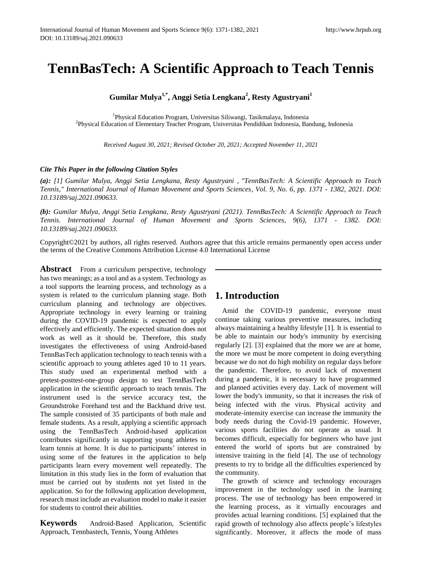# **TennBasTech: A Scientific Approach to Teach Tennis**

**Gumilar Mulya1,\*, Anggi Setia Lengkana<sup>2</sup> , Resty Agustryani<sup>1</sup>**

1 Physical Education Program, Universitas Siliwangi, Tasikmalaya, Indonesia 2 Physical Education of Elementary Teacher Program, Universitas Pendidikan Indonesia, Bandung, Indonesia

*Received August 30, 2021; Revised October 20, 2021; Accepted November 11, 2021* 

#### *Cite This Paper in the following Citation Styles*

*(a): [1] Gumilar Mulya, Anggi Setia Lengkana, Resty Agustryani , "TennBasTech: A Scientific Approach to Teach Tennis," International Journal of Human Movement and Sports Sciences, Vol. 9, No. 6, pp. 1371 - 1382, 2021. DOI: 10.13189/saj.2021.090633.* 

*(b): Gumilar Mulya, Anggi Setia Lengkana, Resty Agustryani (2021). TennBasTech: A Scientific Approach to Teach Tennis. International Journal of Human Movement and Sports Sciences, 9(6), 1371 - 1382. DOI: 10.13189/saj.2021.090633.* 

Copyright©2021 by authors, all rights reserved. Authors agree that this article remains permanently open access under the terms of the Creative Commons Attribution License 4.0 International License

**Abstract** From a curriculum perspective, technology has two meanings; as a tool and as a system. Technology as a tool supports the learning process, and technology as a system is related to the curriculum planning stage. Both curriculum planning and technology are objectives. Appropriate technology in every learning or training during the COVID-19 pandemic is expected to apply effectively and efficiently. The expected situation does not work as well as it should be. Therefore, this study investigates the effectiveness of using Android-based TennBasTech application technology to teach tennis with a scientific approach to young athletes aged 10 to 11 years. This study used an experimental method with a pretest-posttest-one-group design to test TennBasTech application in the scientific approach to teach tennis. The instrument used is the service accuracy test, the Groundstroke Forehand test and the Backhand drive test. The sample consisted of 35 participants of both male and female students. As a result, applying a scientific approach using the TennBasTech Android-based application contributes significantly in supporting young athletes to learn tennis at home. It is due to participants' interest in using some of the features in the application to help participants learn every movement well repeatedly. The limitation in this study lies in the form of evaluation that must be carried out by students not yet listed in the application. So for the following application development, research must include an evaluation model to make it easier for students to control their abilities.

**Keywords** Android-Based Application, Scientific Approach, Tennbastech, Tennis, Young Athletes

# **1. Introduction**

Amid the COVID-19 pandemic, everyone must continue taking various preventive measures, including always maintaining a healthy lifestyle [1]. It is essential to be able to maintain our body's immunity by exercising regularly [2]. [3] explained that the more we are at home, the more we must be more competent in doing everything because we do not do high mobility on regular days before the pandemic. Therefore, to avoid lack of movement during a pandemic, it is necessary to have programmed and planned activities every day. Lack of movement will lower the body's immunity, so that it increases the risk of being infected with the virus. Physical activity and moderate-intensity exercise can increase the immunity the body needs during the Covid-19 pandemic. However, various sports facilities do not operate as usual. It becomes difficult, especially for beginners who have just entered the world of sports but are constrained by intensive training in the field [4]. The use of technology presents to try to bridge all the difficulties experienced by the community.

The growth of science and technology encourages improvement in the technology used in the learning process. The use of technology has been empowered in the learning process, as it virtually encourages and provides actual learning conditions. [5] explained that the rapid growth of technology also affects people's lifestyles significantly. Moreover, it affects the mode of mass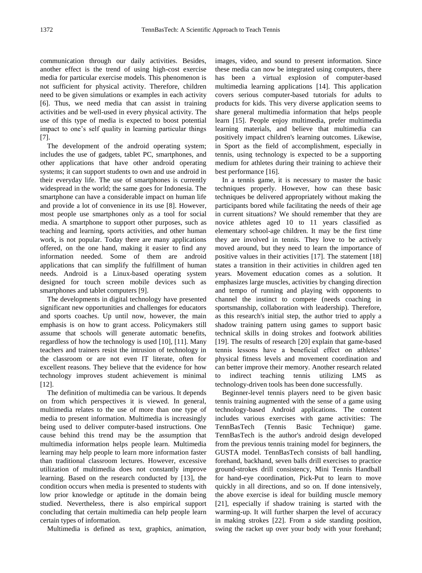communication through our daily activities. Besides, another effect is the trend of using high-cost exercise media for particular exercise models. This phenomenon is not sufficient for physical activity. Therefore, children need to be given simulations or examples in each activity [6]. Thus, we need media that can assist in training activities and be well-used in every physical activity. The use of this type of media is expected to boost potential impact to one's self quality in learning particular things [7].

The development of the android operating system; includes the use of gadgets, tablet PC, smartphones, and other applications that have other android operating systems; it can support students to own and use android in their everyday life. The use of smartphones is currently widespread in the world; the same goes for Indonesia. The smartphone can have a considerable impact on human life and provide a lot of convenience in its use [8]. However, most people use smartphones only as a tool for social media. A smartphone to support other purposes, such as teaching and learning, sports activities, and other human work, is not popular. Today there are many applications offered, on the one hand, making it easier to find any information needed. Some of them are android applications that can simplify the fulfillment of human needs. Android is a Linux-based operating system designed for touch screen mobile devices such as smartphones and tablet computers [9].

The developments in digital technology have presented significant new opportunities and challenges for educators and sports coaches. Up until now, however, the main emphasis is on how to grant access. Policymakers still assume that schools will generate automatic benefits, regardless of how the technology is used [10], [11]. Many teachers and trainers resist the intrusion of technology in the classroom or are not even IT literate, often for excellent reasons. They believe that the evidence for how technology improves student achievement is minimal [12].

The definition of multimedia can be various. It depends on from which perspectives it is viewed. In general, multimedia relates to the use of more than one type of media to present information. Multimedia is increasingly being used to deliver computer-based instructions. One cause behind this trend may be the assumption that multimedia information helps people learn. Multimedia learning may help people to learn more information faster than traditional classroom lectures. However, excessive utilization of multimedia does not constantly improve learning. Based on the research conducted by [13], the condition occurs when media is presented to students with low prior knowledge or aptitude in the domain being studied. Nevertheless, there is also empirical support concluding that certain multimedia can help people learn certain types of information.

Multimedia is defined as text, graphics, animation,

images, video, and sound to present information. Since these media can now be integrated using computers, there has been a virtual explosion of computer-based multimedia learning applications [14]. This application covers serious computer-based tutorials for adults to products for kids. This very diverse application seems to share general multimedia information that helps people learn [15]. People enjoy multimedia, prefer multimedia learning materials, and believe that multimedia can positively impact children's learning outcomes. Likewise, in Sport as the field of accomplishment, especially in tennis, using technology is expected to be a supporting medium for athletes during their training to achieve their best performance [16].

In a tennis game, it is necessary to master the basic techniques properly. However, how can these basic techniques be delivered appropriately without making the participants bored while facilitating the needs of their age in current situations? We should remember that they are novice athletes aged 10 to 11 years classified as elementary school-age children. It may be the first time they are involved in tennis. They love to be actively moved around, but they need to learn the importance of positive values in their activities [17]. The statement [18] states a transition in their activities in children aged ten years. Movement education comes as a solution. It emphasizes large muscles, activities by changing direction and tempo of running and playing with opponents to channel the instinct to compete (needs coaching in sportsmanship, collaboration with leadership). Therefore, as this research's initial step, the author tried to apply a shadow training pattern using games to support basic technical skills in doing strokes and footwork abilities [19]. The results of research [20] explain that game-based tennis lessons have a beneficial effect on athletes' physical fitness levels and movement coordination and can better improve their memory. Another research related to indirect teaching tennis utilizing LMS technology-driven tools has been done successfully.

Beginner-level tennis players need to be given basic tennis training augmented with the sense of a game using technology-based Android applications. The content includes various exercises with game activities: The TennBasTech (Tennis Basic Technique) game. TennBasTech is the author's android design developed from the previous tennis training model for beginners, the GUSTA model. TennBasTech consists of ball handling, forehand, backhand, seven balls drill exercises to practice ground-strokes drill consistency, Mini Tennis Handball for hand-eye coordination, Pick-Put to learn to move quickly in all directions, and so on. If done intensively, the above exercise is ideal for building muscle memory [21], especially if shadow training is started with the warming-up. It will further sharpen the level of accuracy in making strokes [22]. From a side standing position, swing the racket up over your body with your forehand;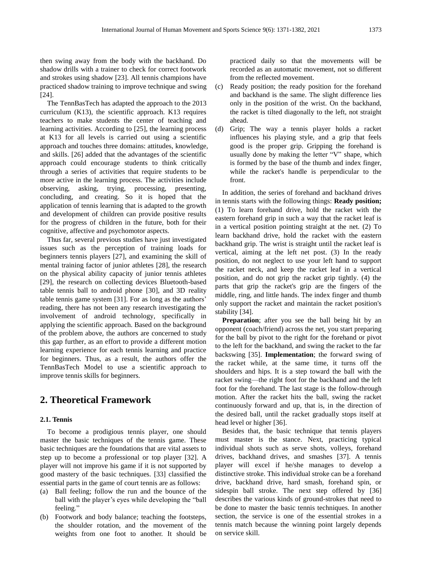then swing away from the body with the backhand. Do shadow drills with a trainer to check for correct footwork and strokes using shadow [23]. All tennis champions have practiced shadow training to improve technique and swing [24].

The TennBasTech has adapted the approach to the 2013 curriculum (K13), the scientific approach. K13 requires teachers to make students the center of teaching and learning activities. According to [25], the learning process at K13 for all levels is carried out using a scientific approach and touches three domains: attitudes, knowledge, and skills. [26] added that the advantages of the scientific approach could encourage students to think critically through a series of activities that require students to be more active in the learning process. The activities include observing, asking, trying, processing, presenting, concluding, and creating. So it is hoped that the application of tennis learning that is adapted to the growth and development of children can provide positive results for the progress of children in the future, both for their cognitive, affective and psychomotor aspects.

Thus far, several previous studies have just investigated issues such as the perception of training loads for beginners tennis players [27], and examining the skill of mental training factor of junior athletes [28], the research on the physical ability capacity of junior tennis athletes [29], the research on collecting devices Bluetooth-based table tennis ball to android phone [30], and 3D reality table tennis game system [31]. For as long as the authors' reading, there has not been any research investigating the involvement of android technology, specifically in applying the scientific approach. Based on the background of the problem above, the authors are concerned to study this gap further, as an effort to provide a different motion learning experience for each tennis learning and practice for beginners. Thus, as a result, the authors offer the TennBasTech Model to use a scientific approach to improve tennis skills for beginners.

# **2. Theoretical Framework**

#### **2.1. Tennis**

To become a prodigious tennis player, one should master the basic techniques of the tennis game. These basic techniques are the foundations that are vital assets to step up to become a professional or top player [32]. A player will not improve his game if it is not supported by good mastery of the basic techniques. [33] classified the essential parts in the game of court tennis are as follows:

- (a) Ball feeling; follow the run and the bounce of the ball with the player's eyes while developing the "ball feeling."
- (b) Footwork and body balance; teaching the footsteps, the shoulder rotation, and the movement of the weights from one foot to another. It should be

practiced daily so that the movements will be recorded as an automatic movement, not so different from the reflected movement.

- (c) Ready position; the ready position for the forehand and backhand is the same. The slight difference lies only in the position of the wrist. On the backhand, the racket is tilted diagonally to the left, not straight ahead.
- (d) Grip; The way a tennis player holds a racket influences his playing style, and a grip that feels good is the proper grip. Gripping the forehand is usually done by making the letter "V" shape, which is formed by the base of the thumb and index finger, while the racket's handle is perpendicular to the front.

In addition, the series of forehand and backhand drives in tennis starts with the following things: **Ready position;** (1) To learn forehand drive, hold the racket with the eastern forehand grip in such a way that the racket leaf is in a vertical position pointing straight at the net. (2) To learn backhand drive, hold the racket with the eastern backhand grip. The wrist is straight until the racket leaf is vertical, aiming at the left net post. (3) In the ready position, do not neglect to use your left hand to support the racket neck, and keep the racket leaf in a vertical position, and do not grip the racket grip tightly. (4) the parts that grip the racket's grip are the fingers of the middle, ring, and little hands. The index finger and thumb only support the racket and maintain the racket position's stability [34].

**Preparation**; after you see the ball being hit by an opponent (coach/friend) across the net, you start preparing for the ball by pivot to the right for the forehand or pivot to the left for the backhand, and swing the racket to the far backswing [35]. **Implementation**; the forward swing of the racket while, at the same time, it turns off the shoulders and hips. It is a step toward the ball with the racket swing—the right foot for the backhand and the left foot for the forehand. The last stage is the follow-through motion. After the racket hits the ball, swing the racket continuously forward and up, that is, in the direction of the desired ball, until the racket gradually stops itself at head level or higher [36].

Besides that, the basic technique that tennis players must master is the stance. Next, practicing typical individual shots such as serve shots, volleys, forehand drives, backhand drives, and smashes [37]. A tennis player will excel if he/she manages to develop a distinctive stroke. This individual stroke can be a forehand drive, backhand drive, hard smash, forehand spin, or sidespin ball stroke. The next step offered by [36] describes the various kinds of ground-strokes that need to be done to master the basic tennis techniques. In another section, the service is one of the essential strokes in a tennis match because the winning point largely depends on service skill.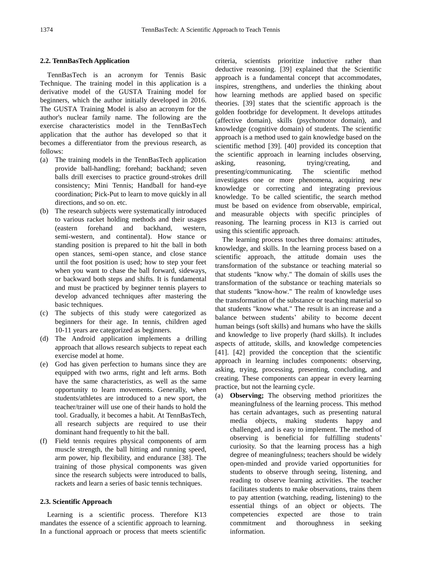#### **2.2. TennBasTech Application**

TennBasTech is an acronym for Tennis Basic Technique. The training model in this application is a derivative model of the GUSTA Training model for beginners, which the author initially developed in 2016. The GUSTA Training Model is also an acronym for the author's nuclear family name. The following are the exercise characteristics model in the TennBasTech application that the author has developed so that it becomes a differentiator from the previous research, as follows:

- (a) The training models in the TennBasTech application provide ball-handling; forehand; backhand; seven balls drill exercises to practice ground-strokes drill consistency; Mini Tennis; Handball for hand-eye coordination; Pick-Put to learn to move quickly in all directions, and so on. etc.
- (b) The research subjects were systematically introduced to various racket holding methods and their usages (eastern forehand and backhand, western, semi-western, and continental). How stance or standing position is prepared to hit the ball in both open stances, semi-open stance, and close stance until the foot position is used; how to step your feet when you want to chase the ball forward, sideways, or backward both steps and shifts. It is fundamental and must be practiced by beginner tennis players to develop advanced techniques after mastering the basic techniques.
- (c) The subjects of this study were categorized as beginners for their age. In tennis, children aged 10-11 years are categorized as beginners.
- (d) The Android application implements a drilling approach that allows research subjects to repeat each exercise model at home.
- (e) God has given perfection to humans since they are equipped with two arms, right and left arms. Both have the same characteristics, as well as the same opportunity to learn movements. Generally, when students/athletes are introduced to a new sport, the teacher/trainer will use one of their hands to hold the tool. Gradually, it becomes a habit. At TennBasTech, all research subjects are required to use their dominant hand frequently to hit the ball.
- (f) Field tennis requires physical components of arm muscle strength, the ball hitting and running speed, arm power, hip flexibility, and endurance [38]. The training of those physical components was given since the research subjects were introduced to balls, rackets and learn a series of basic tennis techniques.

#### **2.3. Scientific Approach**

Learning is a scientific process. Therefore K13 mandates the essence of a scientific approach to learning. In a functional approach or process that meets scientific criteria, scientists prioritize inductive rather than deductive reasoning. [39] explained that the Scientific approach is a fundamental concept that accommodates, inspires, strengthens, and underlies the thinking about how learning methods are applied based on specific theories. [39] states that the scientific approach is the golden footbridge for development. It develops attitudes (affective domain), skills (psychomotor domain), and knowledge (cognitive domain) of students. The scientific approach is a method used to gain knowledge based on the scientific method [39]. [40] provided its conception that the scientific approach in learning includes observing, asking, reasoning, trying/creating, and presenting/communicating. The scientific method investigates one or more phenomena, acquiring new knowledge or correcting and integrating previous knowledge. To be called scientific, the search method must be based on evidence from observable, empirical, and measurable objects with specific principles of reasoning. The learning process in K13 is carried out using this scientific approach.

The learning process touches three domains: attitudes, knowledge, and skills. In the learning process based on a scientific approach, the attitude domain uses the transformation of the substance or teaching material so that students "know why." The domain of skills uses the transformation of the substance or teaching materials so that students "know-how." The realm of knowledge uses the transformation of the substance or teaching material so that students "know what." The result is an increase and a balance between students' ability to become decent human beings (soft skills) and humans who have the skills and knowledge to live properly (hard skills). It includes aspects of attitude, skills, and knowledge competencies [41]. [42] provided the conception that the scientific approach in learning includes components: observing, asking, trying, processing, presenting, concluding, and creating. These components can appear in every learning practice, but not the learning cycle.

(a) **Observing;** The observing method prioritizes the meaningfulness of the learning process. This method has certain advantages, such as presenting natural media objects, making students happy and challenged, and is easy to implement. The method of observing is beneficial for fulfilling students' curiosity. So that the learning process has a high degree of meaningfulness; teachers should be widely open-minded and provide varied opportunities for students to observe through seeing, listening, and reading to observe learning activities. The teacher facilitates students to make observations, trains them to pay attention (watching, reading, listening) to the essential things of an object or objects. The competencies expected are those to train commitment and thoroughness in seeking information.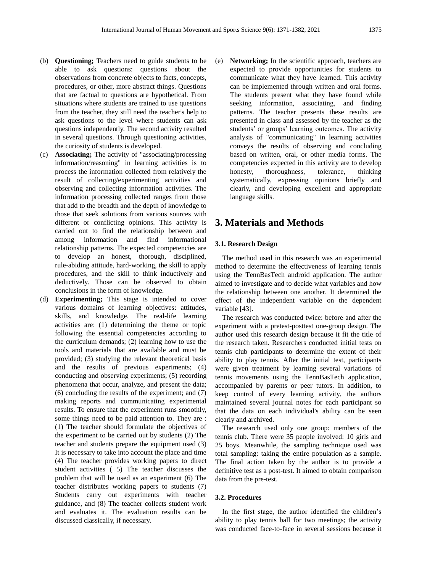- (b) **Questioning;** Teachers need to guide students to be able to ask questions: questions about the observations from concrete objects to facts, concepts, procedures, or other, more abstract things. Questions that are factual to questions are hypothetical. From situations where students are trained to use questions from the teacher, they still need the teacher's help to ask questions to the level where students can ask questions independently. The second activity resulted in several questions. Through questioning activities, the curiosity of students is developed.
- (c) **Associating;** The activity of "associating/processing information/reasoning" in learning activities is to process the information collected from relatively the result of collecting/experimenting activities and observing and collecting information activities. The information processing collected ranges from those that add to the breadth and the depth of knowledge to those that seek solutions from various sources with different or conflicting opinions. This activity is carried out to find the relationship between and among information and find informational relationship patterns. The expected competencies are to develop an honest, thorough, disciplined, rule-abiding attitude, hard-working, the skill to apply procedures, and the skill to think inductively and deductively. Those can be observed to obtain conclusions in the form of knowledge.
- (d) **Experimenting;** This stage is intended to cover various domains of learning objectives: attitudes, skills, and knowledge. The real-life learning activities are: (1) determining the theme or topic following the essential competencies according to the curriculum demands; (2) learning how to use the tools and materials that are available and must be provided; (3) studying the relevant theoretical basis and the results of previous experiments; (4) conducting and observing experiments; (5) recording phenomena that occur, analyze, and present the data; (6) concluding the results of the experiment; and (7) making reports and communicating experimental results. To ensure that the experiment runs smoothly, some things need to be paid attention to. They are : (1) The teacher should formulate the objectives of the experiment to be carried out by students (2) The teacher and students prepare the equipment used (3) It is necessary to take into account the place and time (4) The teacher provides working papers to direct student activities ( 5) The teacher discusses the problem that will be used as an experiment (6) The teacher distributes working papers to students (7) Students carry out experiments with teacher guidance, and (8) The teacher collects student work and evaluates it. The evaluation results can be discussed classically, if necessary.

(e) **Networking;** In the scientific approach, teachers are expected to provide opportunities for students to communicate what they have learned. This activity can be implemented through written and oral forms. The students present what they have found while seeking information, associating, and finding patterns. The teacher presents these results are presented in class and assessed by the teacher as the students' or groups' learning outcomes. The activity analysis of "communicating" in learning activities conveys the results of observing and concluding based on written, oral, or other media forms. The competencies expected in this activity are to develop honesty, thoroughness, tolerance, thinking systematically, expressing opinions briefly and clearly, and developing excellent and appropriate language skills.

# **3. Materials and Methods**

#### **3.1. Research Design**

The method used in this research was an experimental method to determine the effectiveness of learning tennis using the TennBasTech android application. The author aimed to investigate and to decide what variables and how the relationship between one another. It determined the effect of the independent variable on the dependent variable [43].

The research was conducted twice: before and after the experiment with a pretest-posttest one-group design. The author used this research design because it fit the title of the research taken. Researchers conducted initial tests on tennis club participants to determine the extent of their ability to play tennis. After the initial test, participants were given treatment by learning several variations of tennis movements using the TennBasTech application, accompanied by parents or peer tutors. In addition, to keep control of every learning activity, the authors maintained several journal notes for each participant so that the data on each individual's ability can be seen clearly and archived.

The research used only one group: members of the tennis club. There were 35 people involved: 10 girls and 25 boys. Meanwhile, the sampling technique used was total sampling: taking the entire population as a sample. The final action taken by the author is to provide a definitive test as a post-test. It aimed to obtain comparison data from the pre-test.

#### **3.2. Procedures**

In the first stage, the author identified the children's ability to play tennis ball for two meetings; the activity was conducted face-to-face in several sessions because it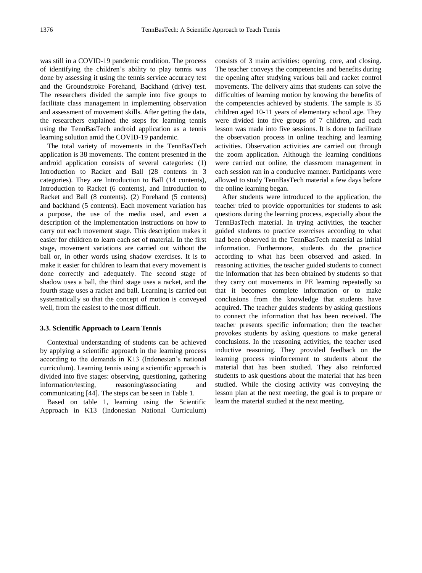was still in a COVID-19 pandemic condition. The process of identifying the children's ability to play tennis was done by assessing it using the tennis service accuracy test and the Groundstroke Forehand, Backhand (drive) test. The researchers divided the sample into five groups to facilitate class management in implementing observation and assessment of movement skills. After getting the data, the researchers explained the steps for learning tennis using the TennBasTech android application as a tennis learning solution amid the COVID-19 pandemic.

The total variety of movements in the TennBasTech application is 38 movements. The content presented in the android application consists of several categories: (1) Introduction to Racket and Ball (28 contents in 3 categories). They are Introduction to Ball (14 contents), Introduction to Racket (6 contents), and Introduction to Racket and Ball (8 contents). (2) Forehand (5 contents) and backhand (5 contents). Each movement variation has a purpose, the use of the media used, and even a description of the implementation instructions on how to carry out each movement stage. This description makes it easier for children to learn each set of material. In the first stage, movement variations are carried out without the ball or, in other words using shadow exercises. It is to make it easier for children to learn that every movement is done correctly and adequately. The second stage of shadow uses a ball, the third stage uses a racket, and the fourth stage uses a racket and ball. Learning is carried out systematically so that the concept of motion is conveyed well, from the easiest to the most difficult.

#### **3.3. Scientific Approach to Learn Tennis**

Contextual understanding of students can be achieved by applying a scientific approach in the learning process according to the demands in K13 (Indonesian's national curriculum). Learning tennis using a scientific approach is divided into five stages: observing, questioning, gathering information/testing, reasoning/associating and communicating [44]. The steps can be seen in Table 1.

Based on table 1, learning using the Scientific Approach in K13 (Indonesian National Curriculum) consists of 3 main activities: opening, core, and closing. The teacher conveys the competencies and benefits during the opening after studying various ball and racket control movements. The delivery aims that students can solve the difficulties of learning motion by knowing the benefits of the competencies achieved by students. The sample is 35 children aged 10-11 years of elementary school age. They were divided into five groups of 7 children, and each lesson was made into five sessions. It is done to facilitate the observation process in online teaching and learning activities. Observation activities are carried out through the zoom application. Although the learning conditions were carried out online, the classroom management in each session ran in a conducive manner. Participants were allowed to study TennBasTech material a few days before the online learning began.

After students were introduced to the application, the teacher tried to provide opportunities for students to ask questions during the learning process, especially about the TennBasTech material. In trying activities, the teacher guided students to practice exercises according to what had been observed in the TennBasTech material as initial information. Furthermore, students do the practice according to what has been observed and asked. In reasoning activities, the teacher guided students to connect the information that has been obtained by students so that they carry out movements in PE learning repeatedly so that it becomes complete information or to make conclusions from the knowledge that students have acquired. The teacher guides students by asking questions to connect the information that has been received. The teacher presents specific information; then the teacher provokes students by asking questions to make general conclusions. In the reasoning activities, the teacher used inductive reasoning. They provided feedback on the learning process reinforcement to students about the material that has been studied. They also reinforced students to ask questions about the material that has been studied. While the closing activity was conveying the lesson plan at the next meeting, the goal is to prepare or learn the material studied at the next meeting.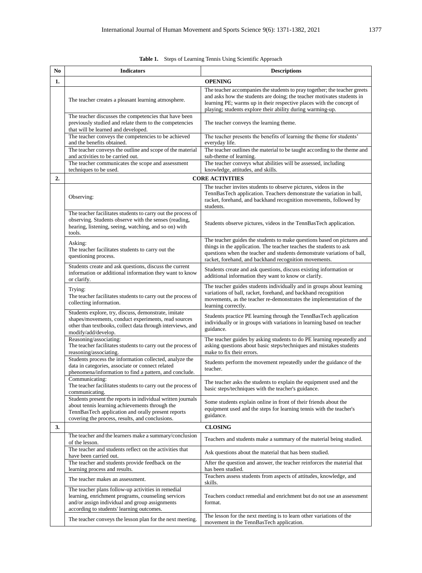|  |  |  |  | <b>Table 1.</b> Steps of Learning Tennis Using Scientific Approach |
|--|--|--|--|--------------------------------------------------------------------|
|--|--|--|--|--------------------------------------------------------------------|

| No               | <b>Indicators</b>                                                                                                                                                                                                      | <b>Descriptions</b>                                                                                                                                                                                                                                                                       |  |  |
|------------------|------------------------------------------------------------------------------------------------------------------------------------------------------------------------------------------------------------------------|-------------------------------------------------------------------------------------------------------------------------------------------------------------------------------------------------------------------------------------------------------------------------------------------|--|--|
| 1.               | <b>OPENING</b>                                                                                                                                                                                                         |                                                                                                                                                                                                                                                                                           |  |  |
|                  | The teacher creates a pleasant learning atmosphere.                                                                                                                                                                    | The teacher accompanies the students to pray together; the teacher greets<br>and asks how the students are doing; the teacher motivates students in<br>learning PE; warms up in their respective places with the concept of<br>playing; students explore their ability during warming-up. |  |  |
|                  | The teacher discusses the competencies that have been<br>previously studied and relate them to the competencies<br>that will be learned and developed.                                                                 | The teacher conveys the learning theme.                                                                                                                                                                                                                                                   |  |  |
|                  | The teacher conveys the competencies to be achieved<br>and the benefits obtained.                                                                                                                                      | The teacher presents the benefits of learning the theme for students'<br>everyday life.                                                                                                                                                                                                   |  |  |
|                  | The teacher conveys the outline and scope of the material                                                                                                                                                              | The teacher outlines the material to be taught according to the theme and                                                                                                                                                                                                                 |  |  |
|                  | and activities to be carried out.<br>The teacher communicates the scope and assessment                                                                                                                                 | sub-theme of learning.<br>The teacher conveys what abilities will be assessed, including                                                                                                                                                                                                  |  |  |
|                  | techniques to be used.                                                                                                                                                                                                 | knowledge, attitudes, and skills.                                                                                                                                                                                                                                                         |  |  |
| $\overline{2}$ . |                                                                                                                                                                                                                        | <b>CORE ACTIVITIES</b>                                                                                                                                                                                                                                                                    |  |  |
|                  | Observing:                                                                                                                                                                                                             | The teacher invites students to observe pictures, videos in the<br>TennBasTech application. Teachers demonstrate the variation in ball,<br>racket, forehand, and backhand recognition movements, followed by<br>students.                                                                 |  |  |
|                  | The teacher facilitates students to carry out the process of<br>observing. Students observe with the senses (reading,<br>hearing, listening, seeing, watching, and so on) with<br>tools.                               | Students observe pictures, videos in the TennBasTech application.                                                                                                                                                                                                                         |  |  |
|                  | Asking:<br>The teacher facilitates students to carry out the<br>questioning process.                                                                                                                                   | The teacher guides the students to make questions based on pictures and<br>things in the application. The teacher teaches the students to ask<br>questions when the teacher and students demonstrate variations of ball,<br>racket, forehand, and backhand recognition movements.         |  |  |
|                  | Students create and ask questions, discuss the current<br>information or additional information they want to know<br>or clarify.                                                                                       | Students create and ask questions, discuss existing information or<br>additional information they want to know or clarify.                                                                                                                                                                |  |  |
|                  | Trying:<br>The teacher facilitates students to carry out the process of<br>collecting information.                                                                                                                     | The teacher guides students individually and in groups about learning<br>variations of ball, racket, forehand, and backhand recognition<br>movements, as the teacher re-demonstrates the implementation of the<br>learning correctly.                                                     |  |  |
|                  | Students explore, try, discuss, demonstrate, imitate<br>shapes/movements, conduct experiments, read sources<br>other than textbooks, collect data through interviews, and<br>modify/add/develop.                       | Students practice PE learning through the TennBasTech application<br>individually or in groups with variations in learning based on teacher<br>guidance.                                                                                                                                  |  |  |
|                  | Reasoning/associating:<br>The teacher facilitates students to carry out the process of<br>reasoning/associating.                                                                                                       | The teacher guides by asking students to do PE learning repeatedly and<br>asking questions about basic steps/techniques and mistakes students<br>make to fix their errors.                                                                                                                |  |  |
|                  | Students process the information collected, analyze the<br>data in categories, associate or connect related<br>phenomena/information to find a pattern, and conclude.                                                  | Students perform the movement repeatedly under the guidance of the<br>teacher.                                                                                                                                                                                                            |  |  |
|                  | Communicating:<br>The teacher facilitates students to carry out the process of<br>communicating.                                                                                                                       | The teacher asks the students to explain the equipment used and the<br>basic steps/techniques with the teacher's guidance.                                                                                                                                                                |  |  |
|                  | Students present the reports in individual written journals<br>about tennis learning achievements through the<br>TennBasTech application and orally present reports<br>covering the process, results, and conclusions. | Some students explain online in front of their friends about the<br>equipment used and the steps for learning tennis with the teacher's<br>guidance.                                                                                                                                      |  |  |
| 3.               |                                                                                                                                                                                                                        | <b>CLOSING</b>                                                                                                                                                                                                                                                                            |  |  |
|                  | The teacher and the learners make a summary/conclusion<br>of the lesson.                                                                                                                                               | Teachers and students make a summary of the material being studied.                                                                                                                                                                                                                       |  |  |
|                  | The teacher and students reflect on the activities that<br>have been carried out.                                                                                                                                      | Ask questions about the material that has been studied.                                                                                                                                                                                                                                   |  |  |
|                  | The teacher and students provide feedback on the<br>learning process and results.                                                                                                                                      | After the question and answer, the teacher reinforces the material that<br>has been studied.                                                                                                                                                                                              |  |  |
|                  | The teacher makes an assessment.                                                                                                                                                                                       | Teachers assess students from aspects of attitudes, knowledge, and<br>skills.                                                                                                                                                                                                             |  |  |
|                  | The teacher plans follow-up activities in remedial<br>learning, enrichment programs, counseling services<br>and/or assign individual and group assignments<br>according to students' learning outcomes.                | Teachers conduct remedial and enrichment but do not use an assessment<br>format.                                                                                                                                                                                                          |  |  |
|                  | The teacher conveys the lesson plan for the next meeting.                                                                                                                                                              | The lesson for the next meeting is to learn other variations of the<br>movement in the TennBasTech application.                                                                                                                                                                           |  |  |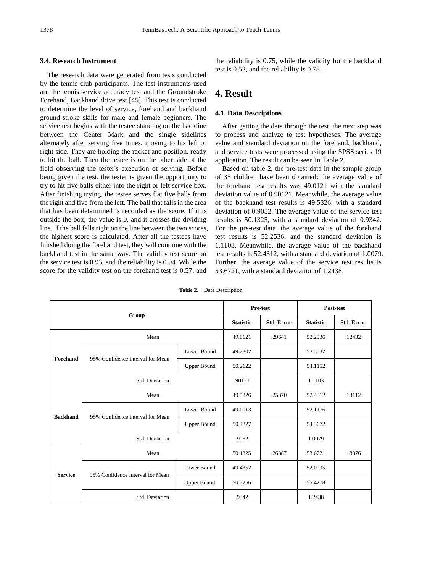#### **3.4. Research Instrument**

The research data were generated from tests conducted by the tennis club participants. The test instruments used are the tennis service accuracy test and the Groundstroke Forehand, Backhand drive test [45]. This test is conducted to determine the level of service, forehand and backhand ground-stroke skills for male and female beginners. The service test begins with the testee standing on the backline between the Center Mark and the single sidelines alternately after serving five times, moving to his left or right side. They are holding the racket and position, ready to hit the ball. Then the testee is on the other side of the field observing the tester's execution of serving. Before being given the test, the tester is given the opportunity to try to hit five balls either into the right or left service box. After finishing trying, the testee serves flat five balls from the right and five from the left. The ball that falls in the area that has been determined is recorded as the score. If it is outside the box, the value is 0, and it crosses the dividing line. If the ball falls right on the line between the two scores, the highest score is calculated. After all the testees have finished doing the forehand test, they will continue with the backhand test in the same way. The validity test score on the service test is 0.93, and the reliability is 0.94. While the score for the validity test on the forehand test is 0.57, and

the reliability is 0.75, while the validity for the backhand test is 0.52, and the reliability is 0.78.

## **4. Result**

#### **4.1. Data Descriptions**

After getting the data through the test, the next step was to process and analyze to test hypotheses. The average value and standard deviation on the forehand, backhand, and service tests were processed using the SPSS series 19 application. The result can be seen in Table 2.

Based on table 2, the pre-test data in the sample group of 35 children have been obtained: the average value of the forehand test results was 49.0121 with the standard deviation value of 0.90121. Meanwhile, the average value of the backhand test results is 49.5326, with a standard deviation of 0.9052. The average value of the service test results is 50.1325, with a standard deviation of 0.9342. For the pre-test data, the average value of the forehand test results is 52.2536, and the standard deviation is 1.1103. Meanwhile, the average value of the backhand test results is 52.4312, with a standard deviation of 1.0079. Further, the average value of the service test results is 53.6721, with a standard deviation of 1.2438.

|                 |                                  | Pre-test           |                  | Post-test         |                  |                   |
|-----------------|----------------------------------|--------------------|------------------|-------------------|------------------|-------------------|
| Group           |                                  |                    | <b>Statistic</b> | <b>Std. Error</b> | <b>Statistic</b> | <b>Std. Error</b> |
|                 | Mean                             | 49.0121            | .29641           | 52.2536           | .12432           |                   |
| Forehand        | 95% Confidence Interval for Mean | Lower Bound        | 49.2302          |                   | 53.5532          |                   |
|                 |                                  | <b>Upper Bound</b> | 50.2122          |                   | 54.1152          |                   |
|                 | Std. Deviation                   | .90121             |                  | 1.1103            |                  |                   |
| <b>Backhand</b> | Mean                             | 49.5326            | .25370           | 52.4312           | .13112           |                   |
|                 |                                  | Lower Bound        | 49.0013          |                   | 52.1176          |                   |
|                 | 95% Confidence Interval for Mean | <b>Upper Bound</b> | 50.4327          |                   | 54.3672          |                   |
|                 | Std. Deviation                   | .9052              |                  | 1.0079            |                  |                   |
| <b>Service</b>  | Mean                             | 50.1325            | .26387           | 53.6721           | .18376           |                   |
|                 | 95% Confidence Interval for Mean | Lower Bound        | 49.4352          |                   | 52.0035          |                   |
|                 |                                  | <b>Upper Bound</b> | 50.3256          |                   | 55.4278          |                   |
|                 | Std. Deviation                   | .9342              |                  | 1.2438            |                  |                   |

**Table 2.** Data Description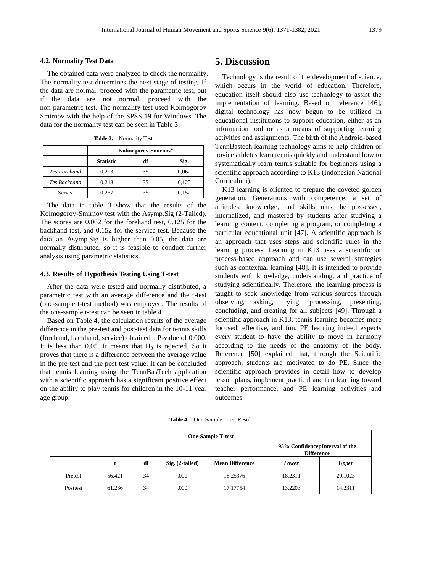#### **4.2. Normality Test Data**

The obtained data were analyzed to check the normality. The normality test determines the next stage of testing. If the data are normal, proceed with the parametric test, but if the data are not normal, proceed with the non-parametric test. The normality test used Kolmogorov Smirnov with the help of the SPSS 19 for Windows. The data for the normality test can be seen in Table 3.

**Table 3.** Normality Test

|                     | Kolmogorov-Smirnov <sup>a</sup> |    |       |  |
|---------------------|---------------------------------|----|-------|--|
|                     | <b>Statistic</b>                | df | Sig.  |  |
| <b>Tes Forehand</b> | 0,203                           | 35 | 0,062 |  |
| <b>Tes Backhand</b> | 0,218                           | 35 | 0,125 |  |
| Servis              | 0.267                           | 35 | 0,152 |  |

The data in table 3 show that the results of the Kolmogorov-Smirnov test with the Asymp.Sig (2-Tailed). The scores are 0.062 for the forehand test, 0.125 for the backhand test, and 0.152 for the service test. Because the data an Asymp.Sig is higher than 0.05, the data are normally distributed, so it is feasible to conduct further analysis using parametric statistics.

#### **4.3. Results of Hypothesis Testing Using T-test**

After the data were tested and normally distributed, a parametric test with an average difference and the t-test (one-sample t-test method) was employed. The results of the one-sample t-test can be seen in table 4.

Based on Table 4, the calculation results of the average difference in the pre-test and post-test data for tennis skills (forehand, backhand, service) obtained a P-value of 0.000. It is less than 0.05. It means that  $H_0$  is rejected. So it proves that there is a difference between the average value in the pre-test and the post-test value. It can be concluded that tennis learning using the TennBasTech application with a scientific approach has a significant positive effect on the ability to play tennis for children in the 10-11 year age group.

### **5. Discussion**

Technology is the result of the development of science, which occurs in the world of education. Therefore, education itself should also use technology to assist the implementation of learning. Based on reference [46], digital technology has now begun to be utilized in educational institutions to support education, either as an information tool or as a means of supporting learning activities and assignments. The birth of the Android-based TennBastech learning technology aims to help children or novice athletes learn tennis quickly and understand how to systematically learn tennis suitable for beginners using a scientific approach according to K13 (Indonesian National Curriculum).

K13 learning is oriented to prepare the coveted golden generation. Generations with competence: a set of attitudes, knowledge, and skills must be possessed, internalized, and mastered by students after studying a learning content, completing a program, or completing a particular educational unit [47]. A scientific approach is an approach that uses steps and scientific rules in the learning process. Learning in K13 uses a scientific or process-based approach and can use several strategies such as contextual learning [48]. It is intended to provide students with knowledge, understanding, and practice of studying scientifically. Therefore, the learning process is taught to seek knowledge from various sources through observing, asking, trying, processing, presenting, concluding, and creating for all subjects [49]. Through a scientific approach in K13, tennis learning becomes more focused, effective, and fun. PE learning indeed expects every student to have the ability to move in harmony according to the needs of the anatomy of the body. Reference [50] explained that, through the Scientific approach, students are motivated to do PE. Since the scientific approach provides in detail how to develop lesson plans, implement practical and fun learning toward teacher performance, and PE learning activities and outcomes.

**Table 4.** One-Sample T-test Result

| <b>One-Sample T-test</b> |        |    |                   |                                                     |         |              |
|--------------------------|--------|----|-------------------|-----------------------------------------------------|---------|--------------|
|                          |        |    |                   | 95% ConfidencepInterval of the<br><b>Difference</b> |         |              |
|                          |        | df | $Sig. (2-tailed)$ | <b>Mean Difference</b>                              | Lower   | <b>Upper</b> |
| Pretest                  | 56.421 | 34 | .000              | 18.25376                                            | 18.2311 | 20.1023      |
| Posttest                 | 61.236 | 34 | .000              | 17.17754                                            | 13.2203 | 14.2311      |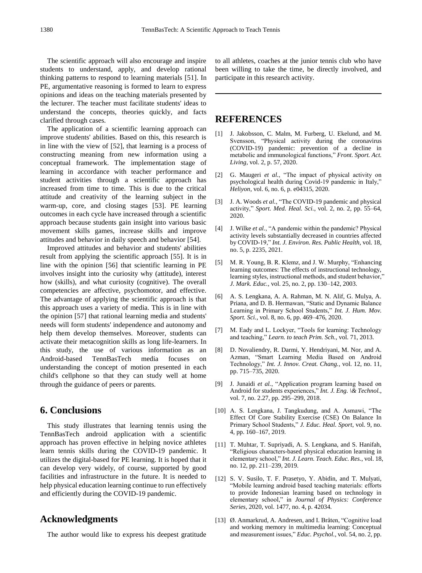The scientific approach will also encourage and inspire students to understand, apply, and develop rational thinking patterns to respond to learning materials [51]. In PE, argumentative reasoning is formed to learn to express opinions and ideas on the teaching materials presented by the lecturer. The teacher must facilitate students' ideas to understand the concepts, theories quickly, and facts clarified through cases.

The application of a scientific learning approach can improve students' abilities. Based on this, this research is in line with the view of [52], that learning is a process of constructing meaning from new information using a conceptual framework. The implementation stage of learning in accordance with teacher performance and student activities through a scientific approach has increased from time to time. This is due to the critical attitude and creativity of the learning subject in the warm-up, core, and closing stages [53]. PE learning outcomes in each cycle have increased through a scientific approach because students gain insight into various basic movement skills games, increase skills and improve attitudes and behavior in daily speech and behavior [54].

Improved attitudes and behavior and students' abilities result from applying the scientific approach [55]. It is in line with the opinion [56] that scientific learning in PE involves insight into the curiosity why (attitude), interest how (skills), and what curiosity (cognitive). The overall competencies are affective, psychomotor, and effective. The advantage of applying the scientific approach is that this approach uses a variety of media. This is in line with the opinion [57] that rational learning media and students' needs will form students' independence and autonomy and help them develop themselves. Moreover, students can activate their metacognition skills as long life-learners. In this study, the use of various information as an Android-based TennBasTech media focuses on understanding the concept of motion presented in each child's cellphone so that they can study well at home through the guidance of peers or parents.

## **6. Conclusions**

This study illustrates that learning tennis using the TennBasTech android application with a scientific approach has proven effective in helping novice athletes learn tennis skills during the COVID-19 pandemic. It utilizes the digital-based for PE learning. It is hoped that it can develop very widely, of course, supported by good facilities and infrastructure in the future. It is needed to help physical education learning continue to run effectively and efficiently during the COVID-19 pandemic.

# **Acknowledgments**

The author would like to express his deepest gratitude

to all athletes, coaches at the junior tennis club who have been willing to take the time, be directly involved, and participate in this research activity.

# **REFERENCES**

- [1] J. Jakobsson, C. Malm, M. Furberg, U. Ekelund, and M. Svensson, "Physical activity during the coronavirus (COVID-19) pandemic: prevention of a decline in metabolic and immunological functions," *Front. Sport. Act. Living*, vol. 2, p. 57, 2020.
- [2] G. Maugeri *et al.*, "The impact of physical activity on psychological health during Covid-19 pandemic in Italy," *Heliyon*, vol. 6, no. 6, p. e04315, 2020.
- [3] J. A. Woods *et al.*, "The COVID-19 pandemic and physical activity," *Sport. Med. Heal. Sci.*, vol. 2, no. 2, pp. 55–64, 2020.
- [4] J. Wilke *et al.*, "A pandemic within the pandemic? Physical activity levels substantially decreased in countries affected by COVID-19," *Int. J. Environ. Res. Public Health*, vol. 18, no. 5, p. 2235, 2021.
- [5] M. R. Young, B. R. Klemz, and J. W. Murphy, "Enhancing learning outcomes: The effects of instructional technology, learning styles, instructional methods, and student behavior," *J. Mark. Educ.*, vol. 25, no. 2, pp. 130–142, 2003.
- [6] A. S. Lengkana, A. A. Rahman, M. N. Alif, G. Mulya, A. Priana, and D. B. Hermawan, "Static and Dynamic Balance Learning in Primary School Students," *Int. J. Hum. Mov. Sport. Sci.*, vol. 8, no. 6, pp. 469–476, 2020.
- [7] M. Eady and L. Lockyer, "Tools for learning: Technology and teaching," *Learn. to teach Prim. Sch.*, vol. 71, 2013.
- [8] D. Novaliendry, R. Darmi, Y. Hendriyani, M. Nor, and A. Azman, "Smart Learning Media Based on Android Technology," *Int. J. Innov. Creat. Chang.*, vol. 12, no. 11, pp. 715–735, 2020.
- [9] J. Junaidi *et al.*, "Application program learning based on Android for students experiences," *Int. J. Eng. \& Technol.*, vol. 7, no. 2.27, pp. 295–299, 2018.
- [10] A. S. Lengkana, J. Tangkudung, and A. Asmawi, "The Effect Of Core Stability Exercise (CSE) On Balance In Primary School Students," *J. Educ. Heal. Sport*, vol. 9, no. 4, pp. 160–167, 2019.
- [11] T. Muhtar, T. Supriyadi, A. S. Lengkana, and S. Hanifah, "Religious characters-based physical education learning in elementary school," *Int. J. Learn. Teach. Educ. Res.*, vol. 18, no. 12, pp. 211–239, 2019.
- [12] S. V. Susilo, T. F. Prasetyo, Y. Abidin, and T. Mulyati, "Mobile learning android based teaching materials: efforts to provide Indonesian learning based on technology in elementary school," in *Journal of Physics: Conference Series*, 2020, vol. 1477, no. 4, p. 42034.
- [13] Ø. Anmarkrud, A. Andresen, and I. Bråten, "Cognitive load and working memory in multimedia learning: Conceptual and measurement issues," *Educ. Psychol.*, vol. 54, no. 2, pp.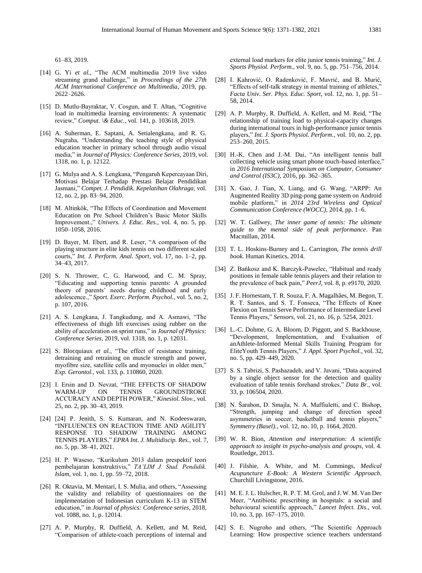- [14] G. Yi *et al.*, "The ACM multimedia 2019 live video streaming grand challenge," in *Proceedings of the 27th ACM International Conference on Multimedia*, 2019, pp. 2622–2626.
- [15] D. Mutlu-Bayraktar, V. Cosgun, and T. Altan, "Cognitive load in multimedia learning environments: A systematic review," *Comput. \& Educ.*, vol. 141, p. 103618, 2019.
- [16] A. Suherman, E. Saptani, A. Setialengkana, and R. G. Nugraha, "Understanding the teaching style of physical education teacher in primary school through audio visual media," in *Journal of Physics: Conference Series*, 2019, vol. 1318, no. 1, p. 12122.
- [17] G. Mulya and A. S. Lengkana, "Pengaruh Kepercayaan Diri, Motivasi Belajar Terhadap Prestasi Belajar Pendidikan Jasmani," *Compet. J. Pendidik. Kepelatihan Olahraga*, vol. 12, no. 2, pp. 83–94, 2020.
- [18] M. Altinkök, "The Effects of Coordination and Movement Education on Pre School Children's Basic Motor Skills Improvement.," *Univers. J. Educ. Res.*, vol. 4, no. 5, pp. 1050–1058, 2016.
- [19] D. Bayer, M. Ebert, and R. Leser, "A comparison of the playing structure in elite kids tennis on two different scaled courts," *Int. J. Perform. Anal. Sport*, vol. 17, no. 1–2, pp. 34–43, 2017.
- [20] S. N. Thrower, C. G. Harwood, and C. M. Spray, "Educating and supporting tennis parents: A grounded theory of parents' needs during childhood and early adolescence.," *Sport. Exerc. Perform. Psychol.*, vol. 5, no. 2, p. 107, 2016.
- [21] A. S. Lengkana, J. Tangkudung, and A. Asmawi, "The effectiveness of thigh lift exercises using rubber on the ability of acceleration on sprint runs," in *Journal of Physics: Conference Series*, 2019, vol. 1318, no. 1, p. 12031.
- [22] S. Blocquiaux *et al.*, "The effect of resistance training, detraining and retraining on muscle strength and power, myofibre size, satellite cells and myonuclei in older men," *Exp. Gerontol.*, vol. 133, p. 110860, 2020.
- [23] I. Ersin and D. Nevzat, "THE EFFECTS OF SHADOW WARM-UP ON TENNIS GROUNDSTROKE ACCURACY AND DEPTH POWER," *Kinesiol. Slov.*, vol. 25, no. 2, pp. 30–43, 2019.
- [24] [24] P. Jenith, S. S. Kumaran, and N. Kodeeswaran, "INFLUENCES ON REACTION TIME AND AGILITY RESPONSE TO SHADOW TRAINING AMONG TENNIS PLAYERS," *EPRA Int. J. Multidiscip. Res.*, vol. 7, no. 5, pp. 38–41, 2021.
- [25] H. P. Waseso, "Kurikulum 2013 dalam prespektif teori pembelajaran konstruktivis," *TA'LIM J. Stud. Pendidik. Islam*, vol. 1, no. 1, pp. 59–72, 2018.
- [26] R. Oktavia, M. Mentari, I. S. Mulia, and others, "Assessing the validity and reliability of questionnaires on the implementation of Indonesian curriculum K-13 in STEM education," in *Journal of physics: Conference series*, 2018, vol. 1088, no. 1, p. 12014.
- [27] A. P. Murphy, R. Duffield, A. Kellett, and M. Reid, "Comparison of athlete-coach perceptions of internal and

external load markers for elite junior tennis training," *Int. J. Sports Physiol. Perform.*, vol. 9, no. 5, pp. 751–756, 2014.

- [28] I. Kahrović, O. Radenković, F. Mavrić, and B. Murić, "Effects of self-talk strategy in mental training of athletes," *Facta Univ. Ser. Phys. Educ. Sport*, vol. 12, no. 1, pp. 51– 58, 2014.
- [29] A. P. Murphy, R. Duffield, A. Kellett, and M. Reid, "The relationship of training load to physical-capacity changes during international tours in high-performance junior tennis players," *Int. J. Sports Physiol. Perform.*, vol. 10, no. 2, pp. 253–260, 2015.
- [30] H.-K. Chen and J.-M. Dai, "An intelligent tennis ball collecting vehicle using smart phone touch-based interface," in *2016 International Symposium on Computer, Consumer and Control (IS3C)*, 2016, pp. 362–365.
- [31] X. Gao, J. Tian, X. Liang, and G. Wang, "ARPP: An Augmented Reality 3D ping-pong game system on Android mobile platform," in *2014 23rd Wireless and Optical Communication Conference (WOCC)*, 2014, pp. 1–6.
- [32] W. T. Gallwey, *The inner game of tennis: The ultimate guide to the mental side of peak performance*. Pan Macmillan, 2014.
- [33] T. L. Hoskins-Burney and L. Carrington, *The tennis drill book*. Human Kinetics, 2014.
- [34] Z. Bańkosz and K. Barczyk-Pawelec, "Habitual and ready positions in female table tennis players and their relation to the prevalence of back pain," *PeerJ*, vol. 8, p. e9170, 2020.
- [35] J. F. Hornestam, T. R. Souza, F. A. Magalhães, M. Begon, T. R. T. Santos, and S. T. Fonseca, "The Effects of Knee Flexion on Tennis Serve Performance of Intermediate Level Tennis Players," *Sensors*, vol. 21, no. 16, p. 5254, 2021.
- [36] L.-C. Dohme, G. A. Bloom, D. Piggott, and S. Backhouse, "Development, Implementation, and Evaluation of anAthlete-Informed Mental Skills Training Program for EliteYouth Tennis Players," *J. Appl. Sport Psychol.*, vol. 32, no. 5, pp. 429–449, 2020.
- [37] S. S. Tabrizi, S. Pashazadeh, and V. Javani, "Data acquired by a single object sensor for the detection and quality evaluation of table tennis forehand strokes," *Data Br.*, vol. 33, p. 106504, 2020.
- [38] N. Šarabon, D. Smajla, N. A. Maffiuletti, and C. Bishop, "Strength, jumping and change of direction speed asymmetries in soccer, basketball and tennis players," *Symmetry (Basel).*, vol. 12, no. 10, p. 1664, 2020.
- [39] W. R. Bion, *Attention and interpretation: A scientific approach to insight in psycho-analysis and groups*, vol. 4. Routledge, 2013.
- [40] J. Filshie, A. White, and M. Cummings, *Medical Acupuncture E-Book: A Western Scientific Approach*. Churchill Livingstone, 2016.
- [41] M. E. J. L. Hulscher, R. P. T. M. Grol, and J. W. M. Van Der Meer, "Antibiotic prescribing in hospitals: a social and behavioural scientific approach," *Lancet Infect. Dis.*, vol. 10, no. 3, pp. 167–175, 2010.
- [42] S. E. Nugroho and others, "The Scientific Approach Learning: How prospective science teachers understand